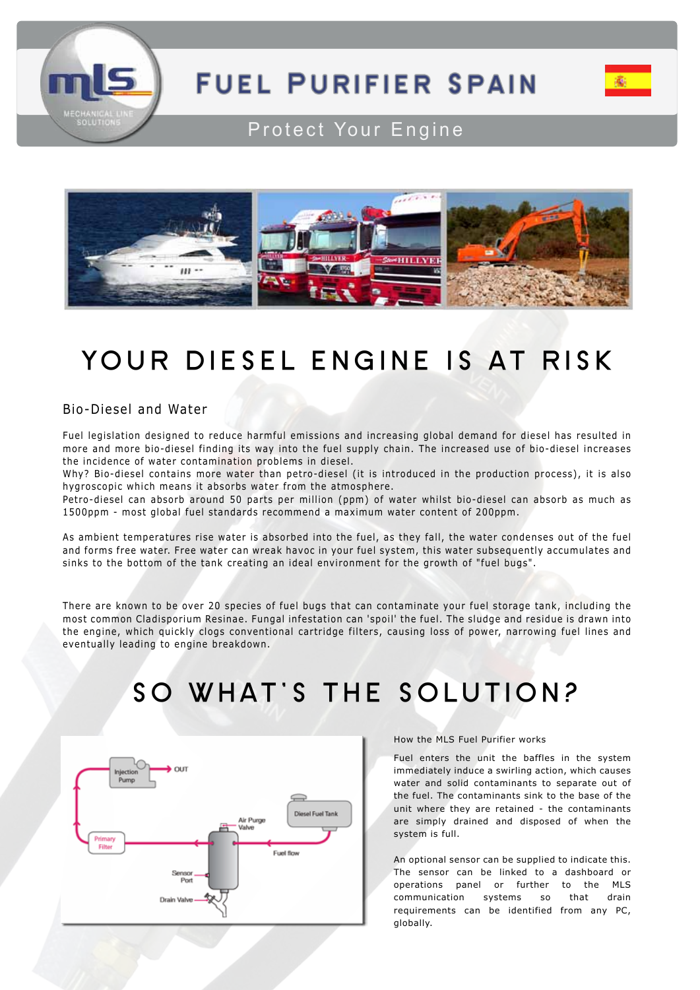

## **FUEL PURIFIER SPAIN**



### Protect Your Engine



### **YOUR DIESEL ENGINE IS AT RISK**

#### Bio-Diesel and Water

Fuel legislation designed to reduce harmful emissions and increasing global demand for diesel has resulted in more and more bio-diesel finding its way into the fuel supply chain. The increased use of bio-diesel increases the incidence of water contamination problems in diesel.

Why? Bio-diesel contains more water than petro-diesel (it is introduced in the production process), it is also hygroscopic which means it absorbs water from the atmosphere.

Petro-diesel can absorb around 50 parts per million (ppm) of water whilst bio-diesel can absorb as much as 1500ppm - most global fuel standards recommend a maximum water content of 200ppm.

As ambient temperatures rise water is absorbed into the fuel, as they fall, the water condenses out of the fuel and forms free water. Free water can wreak havoc in your fuel system, this water subsequently accumulates and sinks to the bottom of the tank creating an ideal environment for the growth of "fuel bugs".

There are known to be over 20 species of fuel bugs that can contaminate your fuel storage tank, including the most common Cladisporium Resinae. Fungal infestation can 'spoil' the fuel. The sludge and residue is drawn into the engine, which quickly clogs conventional cartridge filters, causing loss of power, narrowing fuel lines and eventually leading to engine breakdown.

### **SO WHAT'S THE SOLUTION?**



#### How the MLS Fuel Purifier works

Fuel enters the unit the baffles in the system immediately induce a swirling action, which causes water and solid contaminants to separate out of the fuel. The contaminants sink to the base of the unit where they are retained - the contaminants are simply drained and disposed of when the system is full.

An optional sensor can be supplied to indicate this. The sensor can be linked to a dashboard or operations panel or further to the MLS communication systems so that drain requirements can be identified from any PC, globally.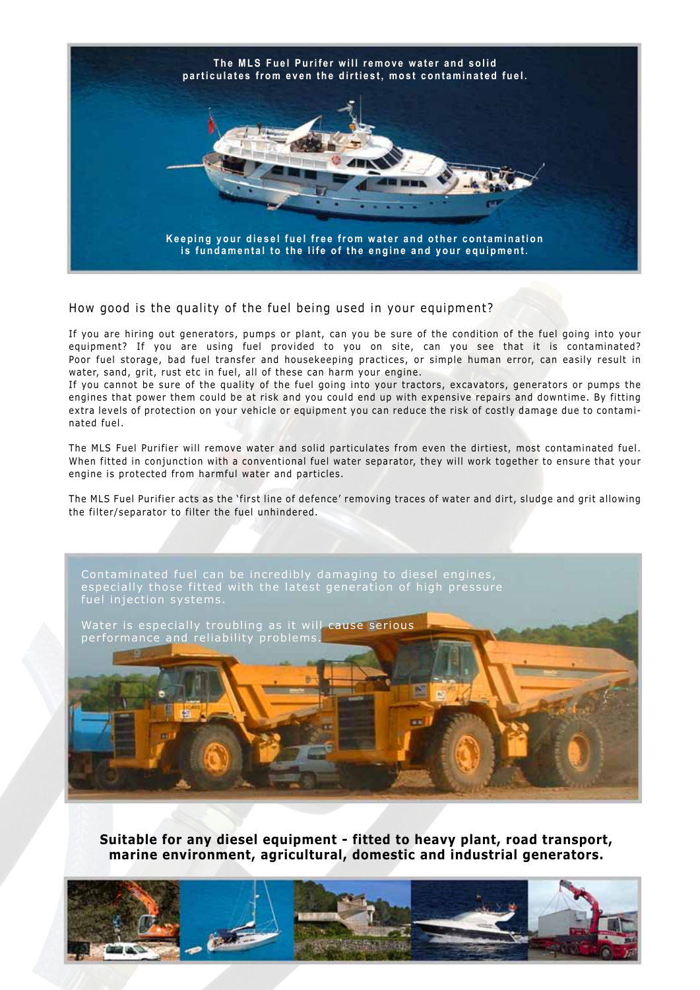

How good is the quality of the fuel being used in your equipment?

If you are hiring out generators, pumps or plant, can you be sure of the condition of the fuel going into your equipment? If you are using fuel provided to you on site, can you see that it is contaminated? Poor fuel storage, bad fuel transfer and housekeeping practices, or simple human error, can easily result in water, sand, grit, rust etc in fuel, all of these can harm your engine.

If you cannot be sure of the quality of the fuel going into your tractors, excavators, generators or pumps the engines that power them could be at risk and you could end up with expensive repairs and downtime. By fitting extra levels of protection on your vehicle or equipment you can reduce the risk of costly damage due to contaminated fuel.

The MLS Fuel Purifier will remove water and solid particulates from even the dirtiest, most contaminated fuel. When fitted in conjunction with a conventional fuel water separator, they will work together to ensure that your engine is protected from harmful water and particles.

The MLS Fuel Purifier acts as the 'first line of defence' removing traces of water and dirt, sludge and grit allowing the filter/separator to filter the fuel unhindered.



**Suitable for any diesel equipment - fitted to heavy plant, road transport, marine environment, agricultural, domestic and industrial generators.**

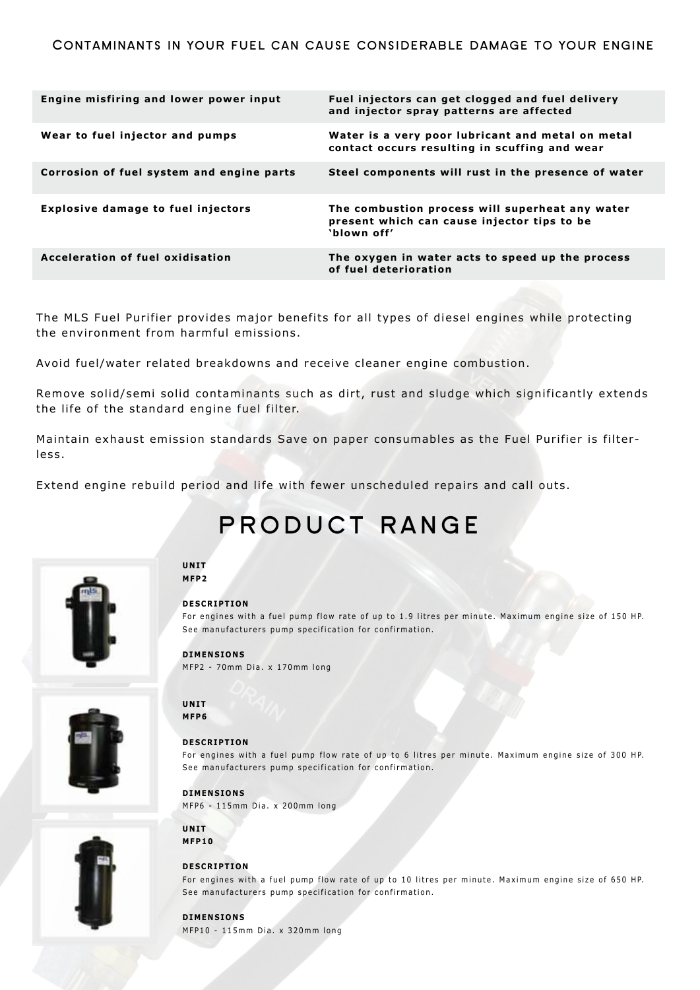| Engine misfiring and lower power input    | Fuel injectors can get clogged and fuel delivery<br>and injector spray patterns are affected                  |
|-------------------------------------------|---------------------------------------------------------------------------------------------------------------|
| Wear to fuel injector and pumps           | Water is a very poor lubricant and metal on metal<br>contact occurs resulting in scuffing and wear            |
| Corrosion of fuel system and engine parts | Steel components will rust in the presence of water                                                           |
| <b>Explosive damage to fuel injectors</b> | The combustion process will superheat any water<br>present which can cause injector tips to be<br>'blown off' |
| Acceleration of fuel oxidisation          | The oxygen in water acts to speed up the process<br>of fuel deterioration                                     |

The MLS Fuel Purifier provides major benefits for all types of diesel engines while protecting the environment from harmful emissions.

Avoid fuel/water related breakdowns and receive cleaner engine combustion.

Remove solid/semi solid contaminants such as dirt, rust and sludge which significantly extends the life of the standard engine fuel filter.

Maintain exhaust emission standards Save on paper consumables as the Fuel Purifier is filterless.

Extend engine rebuild period and life with fewer unscheduled repairs and call outs.

See manufacturers pump specification for confirmation.

### **product range**



#### **UNIT MFP2**

#### **DESCRIPTION**

For engines with a fuel pump flow rate of up to 1.9 litres per minute. Maximum engine size of 150 HP. See manufacturers pump specification for confirmation.

For engines with a fuel pump flow rate of up to 6 litres per minute. Maximum engine size of 300 HP.

#### **DIMENSIONS**

**DESCRIPTION**

**DIMENSIONS**

**UNIT MFP6**

MFP2 - 70mm Dia. x 170mm long

MFP6 - 115mm Dia. x 200mm long





### **MFP10**

**UNIT**

#### **DESCRIPTION**

For engines with a fuel pump flow rate of up to 10 litres per minute. Maximum engine size of 650 HP. See manufacturers pump specification for confirmation.

#### **DIMENSIONS** MFP10 - 115mm Dia. x 320mm long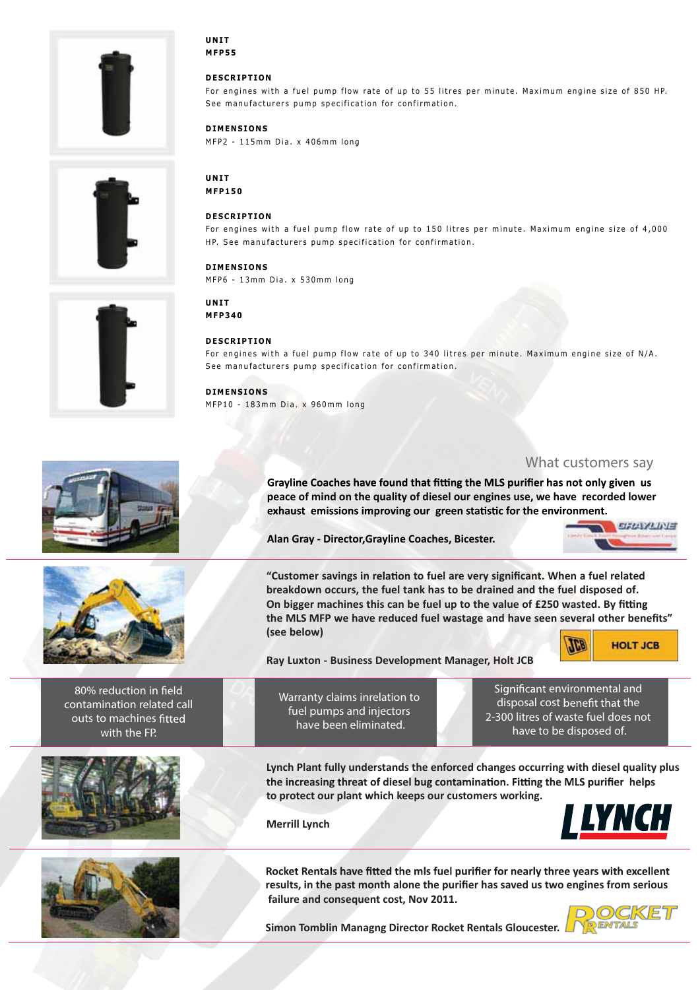









**80% reduction in contamination related call outs to machines with the FP.**





**UNIT MFP55**

#### **DESCRIPTION**

For engines with a fuel pump flow rate of up to 55 litres per minute. Maximum engine size of 850 HP. See manufacturers pump specification for confirmation.

**DIMENSIONS**

MFP2 - 115mm Dia. x 406mm long

**UNIT MFP150**

#### **DESCRIPTION**

For engines with a fuel pump flow rate of up to 150 litres per minute. Maximum engine size of 4,000 HP. See manufacturers pump specification for confirmation.

**DIMENSIONS** MFP6 - 13mm Dia. x 530mm long

**UNIT MFP340**

#### **DESCRIPTION**

For engines with a fuel pump flow rate of up to 340 litres per minute. Maximum engine size of N/A. See manufacturers pump specification for confirmation.

#### **DIMENSIONS**

MFP10 - 183mm Dia. x 960mm long

#### *What customers say*

Grayline Coaches have found that fitting the MLS purifier has not only given us **peace of mind on the quality of diesel our engines use, we have recorded lower**  exhaust emissions improving our green statistic for the environment.

**Alan Gray - Director,Grayline Coaches, Bicester.**



**"Customer savings in r to fuel are very significant. When a fuel related breakdown occurs, the fuel tank has to be drained and the fuel disposed of. On bigger machines this can be fuel up to the value of £250 wasted. By the MLS MFP we have reduced fuel wastage and have seen several other benefits" (see below)**



**Ray Luxton - Business Development Manager, Holt JCB**

**environmental and disposal cost the**

**Warranty claims inrelation to fuel pumps and injectors have been eliminated.**

**2-300 litres of waste fuel does not have to be disposed of.**

**Lynch Plant fully understands the enforced changes occurring with diesel quality plus**  the increasing threat of diesel bug contamination. Fitting the MLS purifier helps **to protect our plant which keeps our customers working.** 

**Merrill Lynch**



Rocket Rentals have fitted the mls fuel purifier for nearly three vears with excellent **results, in the past month alone the purifier has saved us two engines from serious failure and consequent cost, Nov 2011.**

**Simon Tomblin Managng Director Rocket Rentals Gloucester.**